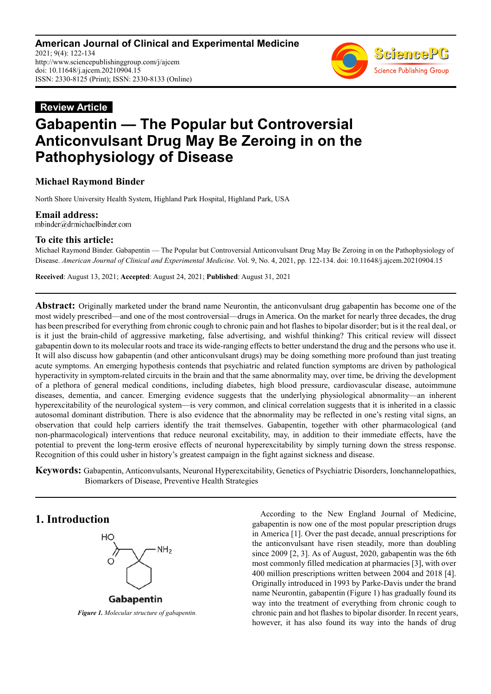**American Journal of Clinical and Experimental Medicine** 2021; 9(4): 122-134 http://www.sciencepublishinggroup.com/j/ajcem doi: 10.11648/j.ajcem.20210904.15 ISSN: 2330-8125 (Print); ISSN: 2330-8133 (Online)



# **Review Article Gabapentin — The Popular but Controversial Anticonvulsant Drug May Be Zeroing in on the Pathophysiology of Disease**

### **Michael Raymond Binder**

North Shore University Health System, Highland Park Hospital, Highland Park, USA

**Email address:**<br>mbinder@drmichaelbinder.com

### **To cite this article:**

Michael Raymond Binder. Gabapentin — The Popular but Controversial Anticonvulsant Drug May Be Zeroing in on the Pathophysiology of Disease. *American Journal of Clinical and Experimental Medicine*. Vol. 9, No. 4, 2021, pp. 122-134. doi: 10.11648/j.ajcem.20210904.15

**Received**: August 13, 2021; **Accepted**: August 24, 2021; **Published**: August 31, 2021

**Abstract:** Originally marketed under the brand name Neurontin, the anticonvulsant drug gabapentin has become one of the most widely prescribed—and one of the most controversial—drugs in America. On the market for nearly three decades, the drug has been prescribed for everything from chronic cough to chronic pain and hot flashes to bipolar disorder; but is it the real deal, or is it just the brain-child of aggressive marketing, false advertising, and wishful thinking? This critical review will dissect gabapentin down to its molecular roots and trace its wide-ranging effects to better understand the drug and the persons who use it. It will also discuss how gabapentin (and other anticonvulsant drugs) may be doing something more profound than just treating acute symptoms. An emerging hypothesis contends that psychiatric and related function symptoms are driven by pathological hyperactivity in symptom-related circuits in the brain and that the same abnormality may, over time, be driving the development of a plethora of general medical conditions, including diabetes, high blood pressure, cardiovascular disease, autoimmune diseases, dementia, and cancer. Emerging evidence suggests that the underlying physiological abnormality—an inherent hyperexcitability of the neurological system—is very common, and clinical correlation suggests that it is inherited in a classic autosomal dominant distribution. There is also evidence that the abnormality may be reflected in one's resting vital signs, an observation that could help carriers identify the trait themselves. Gabapentin, together with other pharmacological (and non-pharmacological) interventions that reduce neuronal excitability, may, in addition to their immediate effects, have the potential to prevent the long-term erosive effects of neuronal hyperexcitability by simply turning down the stress response. Recognition of this could usher in history's greatest campaign in the fight against sickness and disease.

**Keywords:** Gabapentin, Anticonvulsants, Neuronal Hyperexcitability, Genetics of Psychiatric Disorders, Ionchannelopathies, Biomarkers of Disease, Preventive Health Strategies

### **1. Introduction**



*Figure 1. Molecular structure of gabapentin.* 

According to the New England Journal of Medicine, gabapentin is now one of the most popular prescription drugs in America [1]. Over the past decade, annual prescriptions for the anticonvulsant have risen steadily, more than doubling since 2009 [2, 3]. As of August, 2020, gabapentin was the 6th most commonly filled medication at pharmacies [3], with over 400 million prescriptions written between 2004 and 2018 [4]. Originally introduced in 1993 by Parke-Davis under the brand name Neurontin, gabapentin (Figure 1) has gradually found its way into the treatment of everything from chronic cough to chronic pain and hot flashes to bipolar disorder. In recent years, however, it has also found its way into the hands of drug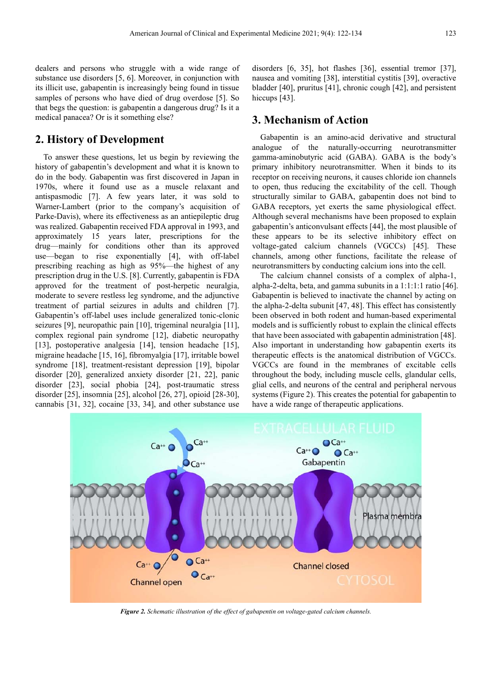dealers and persons who struggle with a wide range of substance use disorders [5, 6]. Moreover, in conjunction with its illicit use, gabapentin is increasingly being found in tissue samples of persons who have died of drug overdose [5]. So that begs the question: is gabapentin a dangerous drug? Is it a medical panacea? Or is it something else?

### **2. History of Development**

To answer these questions, let us begin by reviewing the history of gabapentin's development and what it is known to do in the body. Gabapentin was first discovered in Japan in 1970s, where it found use as a muscle relaxant and antispasmodic [7]. A few years later, it was sold to Warner-Lambert (prior to the company's acquisition of Parke-Davis), where its effectiveness as an antiepileptic drug was realized. Gabapentin received FDA approval in 1993, and approximately 15 years later, prescriptions for the drug—mainly for conditions other than its approved use—began to rise exponentially [4], with off-label prescribing reaching as high as 95%—the highest of any prescription drug in the U.S. [8]. Currently, gabapentin is FDA approved for the treatment of post-herpetic neuralgia, moderate to severe restless leg syndrome, and the adjunctive treatment of partial seizures in adults and children [7]. Gabapentin's off-label uses include generalized tonic-clonic seizures [9], neuropathic pain [10], trigeminal neuralgia [11], complex regional pain syndrome [12], diabetic neuropathy [13], postoperative analgesia [14], tension headache [15], migraine headache [15, 16], fibromyalgia [17], irritable bowel syndrome [18], treatment-resistant depression [19], bipolar disorder [20], generalized anxiety disorder [21, 22], panic disorder [23], social phobia [24], post-traumatic stress disorder [25], insomnia [25], alcohol [26, 27], opioid [28-30], cannabis [31, 32], cocaine [33, 34], and other substance use

disorders [6, 35], hot flashes [36], essential tremor [37], nausea and vomiting [38], interstitial cystitis [39], overactive bladder [40], pruritus [41], chronic cough [42], and persistent hiccups [43].

### **3. Mechanism of Action**

Gabapentin is an amino-acid derivative and structural analogue of the naturally-occurring neurotransmitter gamma-aminobutyric acid (GABA). GABA is the body's primary inhibitory neurotransmitter. When it binds to its receptor on receiving neurons, it causes chloride ion channels to open, thus reducing the excitability of the cell. Though structurally similar to GABA, gabapentin does not bind to GABA receptors, yet exerts the same physiological effect. Although several mechanisms have been proposed to explain gabapentin's anticonvulsant effects [44], the most plausible of these appears to be its selective inhibitory effect on voltage-gated calcium channels (VGCCs) [45]. These channels, among other functions, facilitate the release of neurotransmitters by conducting calcium ions into the cell.

The calcium channel consists of a complex of alpha-1, alpha-2-delta, beta, and gamma subunits in a 1:1:1:1 ratio [46]. Gabapentin is believed to inactivate the channel by acting on the alpha-2-delta subunit [47, 48]. This effect has consistently been observed in both rodent and human-based experimental models and is sufficiently robust to explain the clinical effects that have been associated with gabapentin administration [48]. Also important in understanding how gabapentin exerts its therapeutic effects is the anatomical distribution of VGCCs. VGCCs are found in the membranes of excitable cells throughout the body, including muscle cells, glandular cells, glial cells, and neurons of the central and peripheral nervous systems (Figure 2). This creates the potential for gabapentin to have a wide range of therapeutic applications.



*Figure 2. Schematic illustration of the effect of gabapentin on voltage-gated calcium channels.*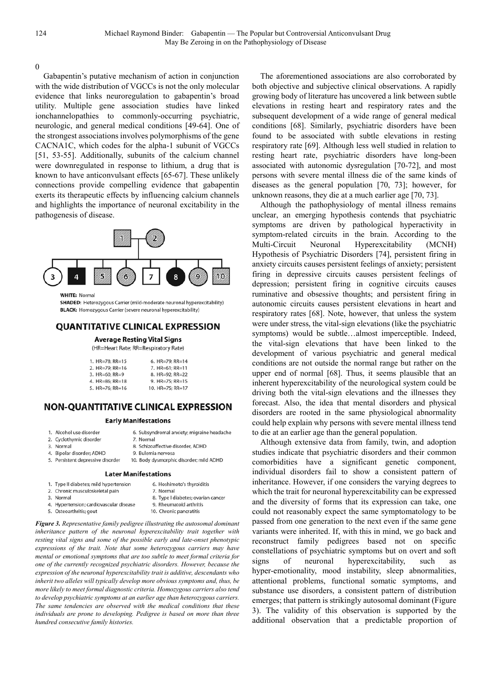0

Gabapentin's putative mechanism of action in conjunction with the wide distribution of VGCCs is not the only molecular evidence that links neuroregulation to gabapentin's broad utility. Multiple gene association studies have linked ionchannelopathies to commonly-occurring psychiatric, neurologic, and general medical conditions [49-64]. One of the strongest associations involves polymorphisms of the gene CACNA1C, which codes for the alpha-1 subunit of VGCCs [51, 53-55]. Additionally, subunits of the calcium channel were downregulated in response to lithium, a drug that is known to have anticonvulsant effects [65-67]. These unlikely connections provide compelling evidence that gabapentin exerts its therapeutic effects by influencing calcium channels and highlights the importance of neuronal excitability in the pathogenesis of disease.



**WHITE: Normal** 

SHADED: Heterozygous Carrier (mild-moderate neuronal hyperexcitability) **BLACK:** Homozygous Carrier (severe neuronal hyperexcitability)

#### **QUANTITATIVE CLINICAL EXPRESSION**

### **Average Resting Vital Signs**

(HR=Heart Rate; RR=Respiratory Rate)

| 1. $HR=78$ ; $RR=15$     | 6. HR=79; RR=14           |
|--------------------------|---------------------------|
| 2. $HR=79$ ; $RR=16$     | 7. $HR=61; RR=11$         |
| 3. $HR=60; RR=9$         | 8. HR=92; RR=22           |
| 4. $HR=86$ ; $RR=18$     | 9. $HR = 75$ ; $RR = 15$  |
| 5. $HR = 76$ : $RR = 16$ | 10. $HR = 75$ : $RR = 17$ |

### **NON-QUANTITATIVE CLINICAL EXPRESSION**

#### **Early Manifestations**

- 1. Alcohol use disorder
- 6. Subsyndromal anxiety; migraine headache 7. Normal
- 2. Cyclothymic disorder 3. Normal
	- 8. Schizoaffective disorder, ADHD
- 4. Bipolar disorder; ADHD 5. Persistent depressive disorder
- 9. Bulemia nervosa 10. Body dysmorphic disorder; mild ADHD

9. Rheumatoid arthritis 10. Chronic pancratitis

#### **Later Manifestations**

- 1. Type II diabetes; mild hypertension 6. Hoshimoto's thyroiditis 2. Chronic musculoskeletal pain 7. Normal 8. Type I diabetes; ovarian cancer
- 3. Normal
- 4. Hypertension; cardiovascular disease
- 5. Osteoarthritis; gout

*Figure 3. Representative family pedigree illustrating the autosomal dominant inheritance pattern of the neuronal hyperexcitability trait together with resting vital signs and some of the possible early and late-onset phenotypic expressions of the trait. Note that some heterozygous carriers may have mental or emotional symptoms that are too subtle to meet formal criteria for one of the currently recognized psychiatric disorders. However, because the expression of the neuronal hyperexcitability trait is additive, descendants who inherit two alleles will typically develop more obvious symptoms and, thus, be more likely to meet formal diagnostic criteria. Homozygous carriers also tend to develop psychiatric symptoms at an earlier age than heterozygous carriers. The same tendencies are observed with the medical conditions that these individuals are prone to developing. Pedigree is based on more than three hundred consecutive family histories.* 

The aforementioned associations are also corroborated by both objective and subjective clinical observations. A rapidly growing body of literature has uncovered a link between subtle elevations in resting heart and respiratory rates and the subsequent development of a wide range of general medical conditions [68]. Similarly, psychiatric disorders have been found to be associated with subtle elevations in resting respiratory rate [69]. Although less well studied in relation to resting heart rate, psychiatric disorders have long-been associated with autonomic dysregulation [70-72], and most persons with severe mental illness die of the same kinds of diseases as the general population [70, 73]; however, for unknown reasons, they die at a much earlier age [70, 73].

Although the pathophysiology of mental illness remains unclear, an emerging hypothesis contends that psychiatric symptoms are driven by pathological hyperactivity in symptom-related circuits in the brain. According to the Multi-Circuit Neuronal Hyperexcitability (MCNH) Hypothesis of Psychiatric Disorders [74], persistent firing in anxiety circuits causes persistent feelings of anxiety; persistent firing in depressive circuits causes persistent feelings of depression; persistent firing in cognitive circuits causes ruminative and obsessive thoughts; and persistent firing in autonomic circuits causes persistent elevations in heart and respiratory rates [68]. Note, however, that unless the system were under stress, the vital-sign elevations (like the psychiatric symptoms) would be subtle…almost imperceptible. Indeed, the vital-sign elevations that have been linked to the development of various psychiatric and general medical conditions are not outside the normal range but rather on the upper end of normal [68]. Thus, it seems plausible that an inherent hyperexcitability of the neurological system could be driving both the vital-sign elevations and the illnesses they forecast. Also, the idea that mental disorders and physical disorders are rooted in the same physiological abnormality could help explain why persons with severe mental illness tend to die at an earlier age than the general population.

Although extensive data from family, twin, and adoption studies indicate that psychiatric disorders and their common comorbidities have a significant genetic component, individual disorders fail to show a consistent pattern of inheritance. However, if one considers the varying degrees to which the trait for neuronal hyperexcitability can be expressed and the diversity of forms that its expression can take, one could not reasonably expect the same symptomatology to be passed from one generation to the next even if the same gene variants were inherited. If, with this in mind, we go back and reconstruct family pedigrees based not on specific constellations of psychiatric symptoms but on overt and soft signs of neuronal hyperexcitability, such as hyper-emotionality, mood instability, sleep abnormalities, attentional problems, functional somatic symptoms, and substance use disorders, a consistent pattern of distribution emerges; that pattern is strikingly autosomal dominant (Figure 3). The validity of this observation is supported by the additional observation that a predictable proportion of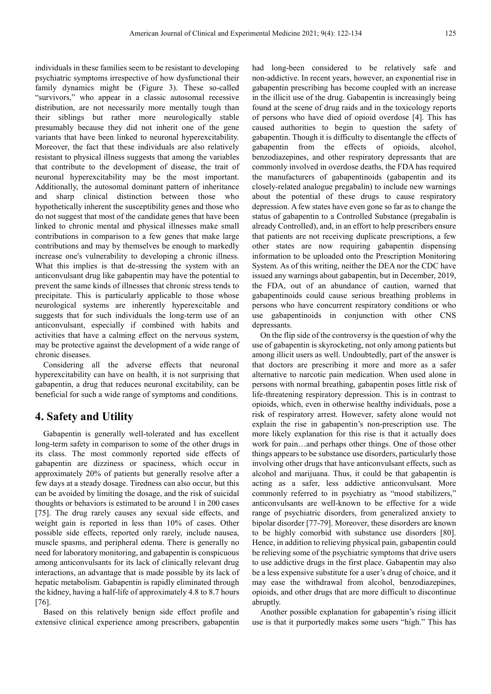individuals in these families seem to be resistant to developing psychiatric symptoms irrespective of how dysfunctional their family dynamics might be (Figure 3). These so-called "survivors," who appear in a classic autosomal recessive distribution, are not necessarily more mentally tough than their siblings but rather more neurologically stable presumably because they did not inherit one of the gene variants that have been linked to neuronal hyperexcitability. Moreover, the fact that these individuals are also relatively resistant to physical illness suggests that among the variables that contribute to the development of disease, the trait of neuronal hyperexcitability may be the most important. Additionally, the autosomal dominant pattern of inheritance and sharp clinical distinction between those who hypothetically inherent the susceptibility genes and those who do not suggest that most of the candidate genes that have been linked to chronic mental and physical illnesses make small contributions in comparison to a few genes that make large contributions and may by themselves be enough to markedly increase one's vulnerability to developing a chronic illness. What this implies is that de-stressing the system with an anticonvulsant drug like gabapentin may have the potential to prevent the same kinds of illnesses that chronic stress tends to precipitate. This is particularly applicable to those whose neurological systems are inherently hyperexcitable and suggests that for such individuals the long-term use of an anticonvulsant, especially if combined with habits and activities that have a calming effect on the nervous system, may be protective against the development of a wide range of chronic diseases.

Considering all the adverse effects that neuronal hyperexcitability can have on health, it is not surprising that gabapentin, a drug that reduces neuronal excitability, can be beneficial for such a wide range of symptoms and conditions.

### **4. Safety and Utility**

Gabapentin is generally well-tolerated and has excellent long-term safety in comparison to some of the other drugs in its class. The most commonly reported side effects of gabapentin are dizziness or spaciness, which occur in approximately 20% of patients but generally resolve after a few days at a steady dosage. Tiredness can also occur, but this can be avoided by limiting the dosage, and the risk of suicidal thoughts or behaviors is estimated to be around 1 in 200 cases [75]. The drug rarely causes any sexual side effects, and weight gain is reported in less than 10% of cases. Other possible side effects, reported only rarely, include nausea, muscle spasms, and peripheral edema. There is generally no need for laboratory monitoring, and gabapentin is conspicuous among anticonvulsants for its lack of clinically relevant drug interactions, an advantage that is made possible by its lack of hepatic metabolism. Gabapentin is rapidly eliminated through the kidney, having a half-life of approximately 4.8 to 8.7 hours [76].

Based on this relatively benign side effect profile and extensive clinical experience among prescribers, gabapentin had long-been considered to be relatively safe and non-addictive. In recent years, however, an exponential rise in gabapentin prescribing has become coupled with an increase in the illicit use of the drug. Gabapentin is increasingly being found at the scene of drug raids and in the toxicology reports of persons who have died of opioid overdose [4]. This has caused authorities to begin to question the safety of gabapentin. Though it is difficulty to disentangle the effects of gabapentin from the effects of opioids, alcohol, benzodiazepines, and other respiratory depressants that are commonly involved in overdose deaths, the FDA has required the manufacturers of gabapentinoids (gabapentin and its closely-related analogue pregabalin) to include new warnings about the potential of these drugs to cause respiratory depression. A few states have even gone so far as to change the status of gabapentin to a Controlled Substance (pregabalin is already Controlled), and, in an effort to help prescribers ensure that patients are not receiving duplicate prescriptions, a few other states are now requiring gabapentin dispensing information to be uploaded onto the Prescription Monitoring System. As of this writing, neither the DEA nor the CDC have issued any warnings about gabapentin, but in December, 2019, the FDA, out of an abundance of caution, warned that gabapentinoids could cause serious breathing problems in persons who have concurrent respiratory conditions or who use gabapentinoids in conjunction with other CNS depressants.

On the flip side of the controversy is the question of why the use of gabapentin is skyrocketing, not only among patients but among illicit users as well. Undoubtedly, part of the answer is that doctors are prescribing it more and more as a safer alternative to narcotic pain medication. When used alone in persons with normal breathing, gabapentin poses little risk of life-threatening respiratory depression. This is in contrast to opioids, which, even in otherwise healthy individuals, pose a risk of respiratory arrest. However, safety alone would not explain the rise in gabapentin's non-prescription use. The more likely explanation for this rise is that it actually does work for pain…and perhaps other things. One of those other things appears to be substance use disorders, particularly those involving other drugs that have anticonvulsant effects, such as alcohol and marijuana. Thus, it could be that gabapentin is acting as a safer, less addictive anticonvulsant. More commonly referred to in psychiatry as "mood stabilizers," anticonvulsants are well-known to be effective for a wide range of psychiatric disorders, from generalized anxiety to bipolar disorder [77-79]. Moreover, these disorders are known to be highly comorbid with substance use disorders [80]. Hence, in addition to relieving physical pain, gabapentin could be relieving some of the psychiatric symptoms that drive users to use addictive drugs in the first place. Gabapentin may also be a less expensive substitute for a user's drug of choice, and it may ease the withdrawal from alcohol, benzodiazepines, opioids, and other drugs that are more difficult to discontinue abruptly.

Another possible explanation for gabapentin's rising illicit use is that it purportedly makes some users "high." This has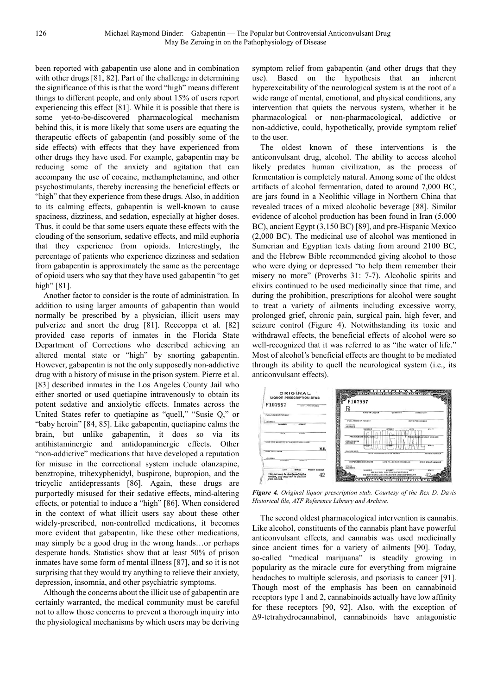been reported with gabapentin use alone and in combination with other drugs [81, 82]. Part of the challenge in determining the significance of this is that the word "high" means different things to different people, and only about 15% of users report experiencing this effect [81]. While it is possible that there is some yet-to-be-discovered pharmacological mechanism behind this, it is more likely that some users are equating the therapeutic effects of gabapentin (and possibly some of the side effects) with effects that they have experienced from other drugs they have used. For example, gabapentin may be reducing some of the anxiety and agitation that can accompany the use of cocaine, methamphetamine, and other psychostimulants, thereby increasing the beneficial effects or "high" that they experience from these drugs. Also, in addition to its calming effects, gabapentin is well-known to cause spaciness, dizziness, and sedation, especially at higher doses. Thus, it could be that some users equate these effects with the clouding of the sensorium, sedative effects, and mild euphoria that they experience from opioids. Interestingly, the percentage of patients who experience dizziness and sedation from gabapentin is approximately the same as the percentage of opioid users who say that they have used gabapentin "to get high" [81].

Another factor to consider is the route of administration. In addition to using larger amounts of gabapentin than would normally be prescribed by a physician, illicit users may pulverize and snort the drug [81]. Reccoppa et al. [82] provided case reports of inmates in the Florida State Department of Corrections who described achieving an altered mental state or "high" by snorting gabapentin. However, gabapentin is not the only supposedly non-addictive drug with a history of misuse in the prison system. Pierre et al. [83] described inmates in the Los Angeles County Jail who either snorted or used quetiapine intravenously to obtain its potent sedative and anxiolytic effects. Inmates across the United States refer to quetiapine as "quell," "Susie Q," or "baby heroin" [84, 85]. Like gabapentin, quetiapine calms the brain, but unlike gabapentin, it does so via its antihistaminergic and antidopaminergic effects. Other "non-addictive" medications that have developed a reputation for misuse in the correctional system include olanzapine, benztropine, trihexyphenidyl, buspirone, bupropion, and the tricyclic antidepressants [86]. Again, these drugs are purportedly misused for their sedative effects, mind-altering effects, or potential to induce a "high" [86]. When considered in the context of what illicit users say about these other widely-prescribed, non-controlled medications, it becomes more evident that gabapentin, like these other medications, may simply be a good drug in the wrong hands…or perhaps desperate hands. Statistics show that at least 50% of prison inmates have some form of mental illness [87], and so it is not surprising that they would try anything to relieve their anxiety, depression, insomnia, and other psychiatric symptoms.

Although the concerns about the illicit use of gabapentin are certainly warranted, the medical community must be careful not to allow those concerns to prevent a thorough inquiry into the physiological mechanisms by which users may be deriving symptom relief from gabapentin (and other drugs that they use). Based on the hypothesis that an inherent hyperexcitability of the neurological system is at the root of a wide range of mental, emotional, and physical conditions, any intervention that quiets the nervous system, whether it be pharmacological or non-pharmacological, addictive or non-addictive, could, hypothetically, provide symptom relief to the user.

The oldest known of these interventions is the anticonvulsant drug, alcohol. The ability to access alcohol likely predates human civilization, as the process of fermentation is completely natural. Among some of the oldest artifacts of alcohol fermentation, dated to around 7,000 BC, are jars found in a Neolithic village in Northern China that revealed traces of a mixed alcoholic beverage [88]. Similar evidence of alcohol production has been found in Iran (5,000 BC), ancient Egypt (3,150 BC) [89], and pre-Hispanic Mexico (2,000 BC). The medicinal use of alcohol was mentioned in Sumerian and Egyptian texts dating from around 2100 BC, and the Hebrew Bible recommended giving alcohol to those who were dying or depressed "to help them remember their misery no more" (Proverbs 31: 7-7). Alcoholic spirits and elixirs continued to be used medicinally since that time, and during the prohibition, prescriptions for alcohol were sought to treat a variety of ailments including excessive worry, prolonged grief, chronic pain, surgical pain, high fever, and seizure control (Figure 4). Notwithstanding its toxic and withdrawal effects, the beneficial effects of alcohol were so well-recognized that it was referred to as "the water of life." Most of alcohol's beneficial effects are thought to be mediated through its ability to quell the neurological system (i.e., its anticonvulsant effects).



*Figure 4. Original liquor prescription stub. Courtesy of the Rex D. Davis Historical file, ATF Reference Library and Archive.* 

The second oldest pharmacological intervention is cannabis. Like alcohol, constituents of the cannabis plant have powerful anticonvulsant effects, and cannabis was used medicinally since ancient times for a variety of ailments [90]. Today, so-called "medical marijuana" is steadily growing in popularity as the miracle cure for everything from migraine headaches to multiple sclerosis, and psoriasis to cancer [91]. Though most of the emphasis has been on cannabinoid receptors type 1 and 2, cannabinoids actually have low affinity for these receptors [90, 92]. Also, with the exception of ∆9-tetrahydrocannabinol, cannabinoids have antagonistic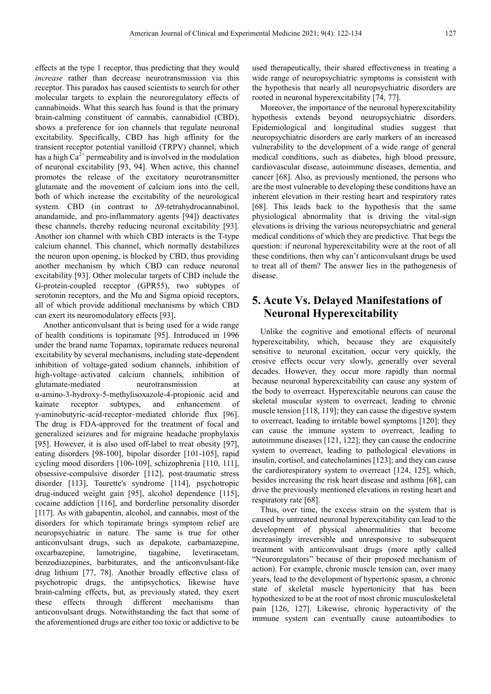effects at the type 1 receptor, thus predicting that they would *increase* rather than decrease neurotransmission via this receptor. This paradox has caused scientists to search for other molecular targets to explain the neuroregulatory effects of cannabinoids. What this search has found is that the primary brain-calming constituent of cannabis, cannabidiol (CBD), shows a preference for ion channels that regulate neuronal excitability. Specifically, CBD has high affinity for the transient receptor potential vanilloid (TRPV) channel, which has a high  $Ca^{2+}$  permeability and is involved in the modulation of neuronal excitability [93, 94]. When active, this channel promotes the release of the excitatory neurotransmitter glutamate and the movement of calcium ions into the cell, both of which increase the excitability of the neurological system. CBD (in contrast to ∆9-tetrahydrocannabinol, anandamide, and pro-inflammatory agents [94]) deactivates these channels, thereby reducing neuronal excitability [93]. Another ion channel with which CBD interacts is the T-type calcium channel. This channel, which normally destabilizes the neuron upon opening, is blocked by CBD, thus providing another mechanism by which CBD can reduce neuronal excitability [93]. Other molecular targets of CBD include the G-protein-coupled receptor (GPR55), two subtypes of serotonin receptors, and the Mu and Sigma opioid receptors, all of which provide additional mechanisms by which CBD can exert its neuromodulatory effects [93].

Another anticonvulsant that is being used for a wide range of health conditions is topiramate [95]. Introduced in 1996 under the brand name Topamax, topiramate reduces neuronal excitability by several mechanisms, including state-dependent inhibition of voltage-gated sodium channels, inhibition of high-voltage–activated calcium channels, inhibition of glutamate-mediated neurotransmission at α-amino-3-hydroxy-5-methylisoxazole-4-propionic acid and kainate receptor subtypes, and enhancement of γ-aminobutyric-acid-receptor–mediated chloride flux [96]. The drug is FDA-approved for the treatment of focal and generalized seizures and for migraine headache prophylaxis [95]. However, it is also used off-label to treat obesity [97], eating disorders [98-100], bipolar disorder [101-105], rapid cycling mood disorders [106-109], schizophrenia [110, 111], obsessive-compulsive disorder [112], post-traumatic stress disorder [113], Tourette's syndrome [114], psychotropic drug-induced weight gain [95], alcohol dependence [115], cocaine addiction [116], and borderline personality disorder [117]. As with gabapentin, alcohol, and cannabis, most of the disorders for which topiramate brings symptom relief are neuropsychiatric in nature. The same is true for other anticonvulsant drugs, such as depakote, carbamazepine, oxcarbazepine, lamotrigine, tiagabine, levetiracetam, benzodiazepines, barbiturates, and the anticonvulsant-like drug lithium [77, 78]. Another broadly effective class of psychotropic drugs, the antipsychotics, likewise have brain-calming effects, but, as previously stated, they exert these effects through different mechanisms than anticonvulsant drugs. Notwithstanding the fact that some of the aforementioned drugs are either too toxic or addictive to be

used therapeutically, their shared effectiveness in treating a wide range of neuropsychiatric symptoms is consistent with the hypothesis that nearly all neuropsychiatric disorders are rooted in neuronal hyperexcitability [74, 77].

Moreover, the importance of the neuronal hyperexcitability hypothesis extends beyond neuropsychiatric disorders. Epidemiological and longitudinal studies suggest that neuropsychiatric disorders are early markers of an increased vulnerability to the development of a wide range of general medical conditions, such as diabetes, high blood pressure, cardiovascular disease, autoimmune diseases, dementia, and cancer [68]. Also, as previously mentioned, the persons who are the most vulnerable to developing these conditions have an inherent elevation in their resting heart and respiratory rates [68]. This leads back to the hypothesis that the same physiological abnormality that is driving the vital-sign elevations is driving the various neuropsychiatric and general medical conditions of which they are predictive. That begs the question: if neuronal hyperexcitability were at the root of all these conditions, then why can't anticonvulsant drugs be used to treat all of them? The answer lies in the pathogenesis of disease.

### **5. Acute Vs. Delayed Manifestations of Neuronal Hyperexcitability**

Unlike the cognitive and emotional effects of neuronal hyperexcitability, which, because they are exquisitely sensitive to neuronal excitation, occur very quickly, the erosive effects occur very slowly, generally over several decades. However, they occur more rapidly than normal because neuronal hyperexcitability can cause any system of the body to overreact. Hyperexcitable neurons can cause the skeletal muscular system to overreact, leading to chronic muscle tension [118, 119]; they can cause the digestive system to overreact, leading to irritable bowel symptoms [120]; they can cause the immune system to overreact, leading to autoimmune diseases [121, 122]; they can cause the endocrine system to overreact, leading to pathological elevations in insulin, cortisol, and catecholamines [123]; and they can cause the cardiorespiratory system to overreact [124, 125], which, besides increasing the risk heart disease and asthma [68], can drive the previously mentioned elevations in resting heart and respiratory rate [68].

Thus, over time, the excess strain on the system that is caused by untreated neuronal hyperexcitability can lead to the development of physical abnormalities that become increasingly irreversible and unresponsive to subsequent treatment with anticonvulsant drugs (more aptly called "Neuroregulators" because of their proposed mechanism of action). For example, chronic muscle tension can, over many years, lead to the development of hypertonic spasm, a chronic state of skeletal muscle hypertonicity that has been hypothesized to be at the root of most chronic musculoskeletal pain [126, 127]. Likewise, chronic hyperactivity of the immune system can eventually cause autoantibodies to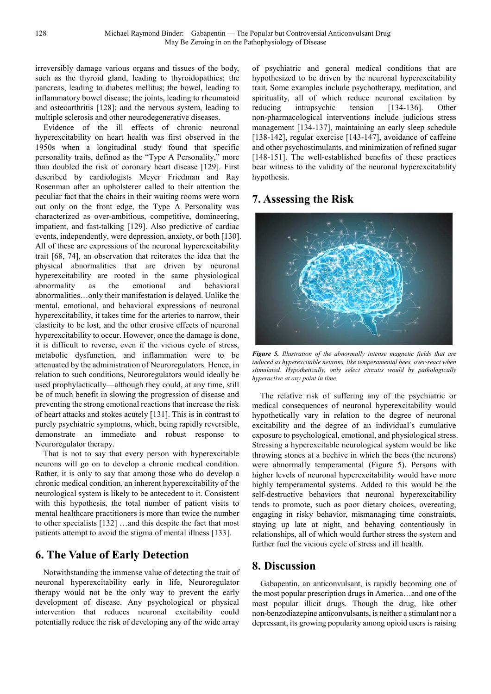irreversibly damage various organs and tissues of the body, such as the thyroid gland, leading to thyroidopathies; the pancreas, leading to diabetes mellitus; the bowel, leading to inflammatory bowel disease; the joints, leading to rheumatoid and osteoarthritis [128]; and the nervous system, leading to multiple sclerosis and other neurodegenerative diseases.

Evidence of the ill effects of chronic neuronal hyperexcitability on heart health was first observed in the 1950s when a longitudinal study found that specific personality traits, defined as the "Type A Personality," more than doubled the risk of coronary heart disease [129]. First described by cardiologists Meyer Friedman and Ray Rosenman after an upholsterer called to their attention the peculiar fact that the chairs in their waiting rooms were worn out only on the front edge, the Type A Personality was characterized as over-ambitious, competitive, domineering, impatient, and fast-talking [129]. Also predictive of cardiac events, independently, were depression, anxiety, or both [130]. All of these are expressions of the neuronal hyperexcitability trait [68, 74], an observation that reiterates the idea that the physical abnormalities that are driven by neuronal hyperexcitability are rooted in the same physiological abnormality as the emotional and behavioral abnormalities…only their manifestation is delayed. Unlike the mental, emotional, and behavioral expressions of neuronal hyperexcitability, it takes time for the arteries to narrow, their elasticity to be lost, and the other erosive effects of neuronal hyperexcitability to occur. However, once the damage is done, it is difficult to reverse, even if the vicious cycle of stress, metabolic dysfunction, and inflammation were to be attenuated by the administration of Neuroregulators. Hence, in relation to such conditions, Neuroregulators would ideally be used prophylactically—although they could, at any time, still be of much benefit in slowing the progression of disease and preventing the strong emotional reactions that increase the risk of heart attacks and stokes acutely [131]. This is in contrast to purely psychiatric symptoms, which, being rapidly reversible, demonstrate an immediate and robust response to Neuroregulator therapy.

That is not to say that every person with hyperexcitable neurons will go on to develop a chronic medical condition. Rather, it is only to say that among those who do develop a chronic medical condition, an inherent hyperexcitability of the neurological system is likely to be antecedent to it. Consistent with this hypothesis, the total number of patient visits to mental healthcare practitioners is more than twice the number to other specialists [132] …and this despite the fact that most patients attempt to avoid the stigma of mental illness [133].

### **6. The Value of Early Detection**

Notwithstanding the immense value of detecting the trait of neuronal hyperexcitability early in life, Neuroregulator therapy would not be the only way to prevent the early development of disease. Any psychological or physical intervention that reduces neuronal excitability could potentially reduce the risk of developing any of the wide array of psychiatric and general medical conditions that are hypothesized to be driven by the neuronal hyperexcitability trait. Some examples include psychotherapy, meditation, and spirituality, all of which reduce neuronal excitation by reducing intrapsychic tension [134-136]. Other non-pharmacological interventions include judicious stress management [134-137], maintaining an early sleep schedule [138-142], regular exercise [143-147], avoidance of caffeine and other psychostimulants, and minimization of refined sugar [148-151]. The well-established benefits of these practices bear witness to the validity of the neuronal hyperexcitability hypothesis.

## **7. Assessing the Risk**



*Figure 5. Illustration of the abnormally intense magnetic fields that are induced as hyperexcitable neurons, like temperamental bees, over-react when stimulated. Hypothetically, only select circuits would by pathologically hyperactive at any point in time.* 

The relative risk of suffering any of the psychiatric or medical consequences of neuronal hyperexcitability would hypothetically vary in relation to the degree of neuronal excitability and the degree of an individual's cumulative exposure to psychological, emotional, and physiological stress. Stressing a hyperexcitable neurological system would be like throwing stones at a beehive in which the bees (the neurons) were abnormally temperamental (Figure 5). Persons with higher levels of neuronal hyperexcitability would have more highly temperamental systems. Added to this would be the self-destructive behaviors that neuronal hyperexcitability tends to promote, such as poor dietary choices, overeating, engaging in risky behavior, mismanaging time constraints, staying up late at night, and behaving contentiously in relationships, all of which would further stress the system and further fuel the vicious cycle of stress and ill health.

### **8. Discussion**

Gabapentin, an anticonvulsant, is rapidly becoming one of the most popular prescription drugs in America…and one of the most popular illicit drugs. Though the drug, like other non-benzodiazepine anticonvulsants, is neither a stimulant nor a depressant, its growing popularity among opioid users is raising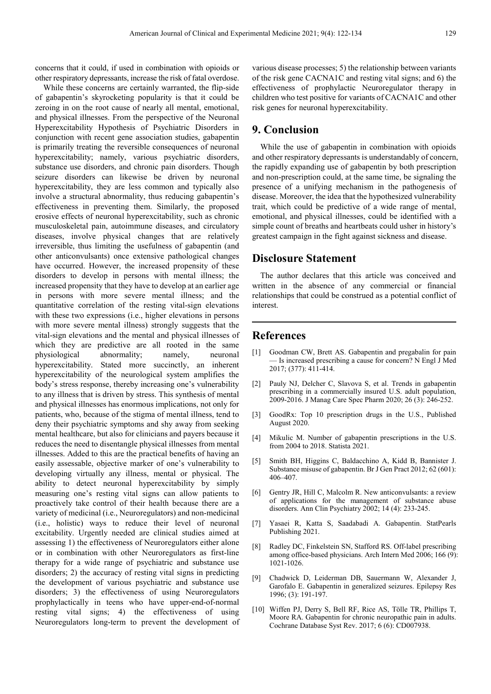concerns that it could, if used in combination with opioids or other respiratory depressants, increase the risk of fatal overdose.

While these concerns are certainly warranted, the flip-side of gabapentin's skyrocketing popularity is that it could be zeroing in on the root cause of nearly all mental, emotional, and physical illnesses. From the perspective of the Neuronal Hyperexcitability Hypothesis of Psychiatric Disorders in conjunction with recent gene association studies, gabapentin is primarily treating the reversible consequences of neuronal hyperexcitability; namely, various psychiatric disorders, substance use disorders, and chronic pain disorders. Though seizure disorders can likewise be driven by neuronal hyperexcitability, they are less common and typically also involve a structural abnormality, thus reducing gabapentin's effectiveness in preventing them. Similarly, the proposed erosive effects of neuronal hyperexcitability, such as chronic musculoskeletal pain, autoimmune diseases, and circulatory diseases, involve physical changes that are relatively irreversible, thus limiting the usefulness of gabapentin (and other anticonvulsants) once extensive pathological changes have occurred. However, the increased propensity of these disorders to develop in persons with mental illness; the increased propensity that they have to develop at an earlier age in persons with more severe mental illness; and the quantitative correlation of the resting vital-sign elevations with these two expressions (i.e., higher elevations in persons with more severe mental illness) strongly suggests that the vital-sign elevations and the mental and physical illnesses of which they are predictive are all rooted in the same physiological abnormality; namely, neuronal hyperexcitability. Stated more succinctly, an inherent hyperexcitability of the neurological system amplifies the body's stress response, thereby increasing one's vulnerability to any illness that is driven by stress. This synthesis of mental and physical illnesses has enormous implications, not only for patients, who, because of the stigma of mental illness, tend to deny their psychiatric symptoms and shy away from seeking mental healthcare, but also for clinicians and payers because it reduces the need to disentangle physical illnesses from mental illnesses. Added to this are the practical benefits of having an easily assessable, objective marker of one's vulnerability to developing virtually any illness, mental or physical. The ability to detect neuronal hyperexcitability by simply measuring one's resting vital signs can allow patients to proactively take control of their health because there are a variety of medicinal (i.e., Neuroregulators) and non-medicinal (i.e., holistic) ways to reduce their level of neuronal excitability. Urgently needed are clinical studies aimed at assessing 1) the effectiveness of Neuroregulators either alone or in combination with other Neuroregulators as first-line therapy for a wide range of psychiatric and substance use disorders; 2) the accuracy of resting vital signs in predicting the development of various psychiatric and substance use disorders; 3) the effectiveness of using Neuroregulators prophylactically in teens who have upper-end-of-normal resting vital signs; 4) the effectiveness of using Neuroregulators long-term to prevent the development of various disease processes; 5) the relationship between variants of the risk gene CACNA1C and resting vital signs; and 6) the effectiveness of prophylactic Neuroregulator therapy in children who test positive for variants of CACNA1C and other risk genes for neuronal hyperexcitability.

### **9. Conclusion**

While the use of gabapentin in combination with opioids and other respiratory depressants is understandably of concern, the rapidly expanding use of gabapentin by both prescription and non-prescription could, at the same time, be signaling the presence of a unifying mechanism in the pathogenesis of disease. Moreover, the idea that the hypothesized vulnerability trait, which could be predictive of a wide range of mental, emotional, and physical illnesses, could be identified with a simple count of breaths and heartbeats could usher in history's greatest campaign in the fight against sickness and disease.

### **Disclosure Statement**

The author declares that this article was conceived and written in the absence of any commercial or financial relationships that could be construed as a potential conflict of interest.

### **References**

- [1] Goodman CW, Brett AS. Gabapentin and pregabalin for pain — Is increased prescribing a cause for concern? N Engl J Med 2017; (377): 411-414.
- [2] Pauly NJ, Delcher C, Slavova S, et al. Trends in gabapentin prescribing in a commercially insured U.S. adult population, 2009-2016. J Manag Care Spec Pharm 2020; 26 (3): 246-252.
- [3] GoodRx: Top 10 prescription drugs in the U.S., Published August 2020.
- [4] Mikulic M. Number of gabapentin prescriptions in the U.S. from 2004 to 2018. Statista 2021.
- [5] Smith BH, Higgins C, Baldacchino A, Kidd B, Bannister J. Substance misuse of gabapentin. Br J Gen Pract 2012; 62 (601): 406–407.
- [6] Gentry JR, Hill C, Malcolm R. New anticonvulsants: a review of applications for the management of substance abuse disorders. Ann Clin Psychiatry 2002; 14 (4): 233-245.
- [7] Yasaei R, Katta S, Saadabadi A. Gabapentin. StatPearls Publishing 2021.
- [8] Radley DC, Finkelstein SN, Stafford RS. Off-label prescribing among office-based physicians. Arch Intern Med 2006; 166 (9): 1021-1026.
- Chadwick D, Leiderman DB, Sauermann W, Alexander J, Garofalo E. Gabapentin in generalized seizures. Epilepsy Res 1996; (3): 191-197.
- [10] Wiffen PJ, Derry S, Bell RF, Rice AS, Tölle TR, Phillips T, Moore RA. Gabapentin for chronic neuropathic pain in adults. Cochrane Database Syst Rev. 2017; 6 (6): CD007938.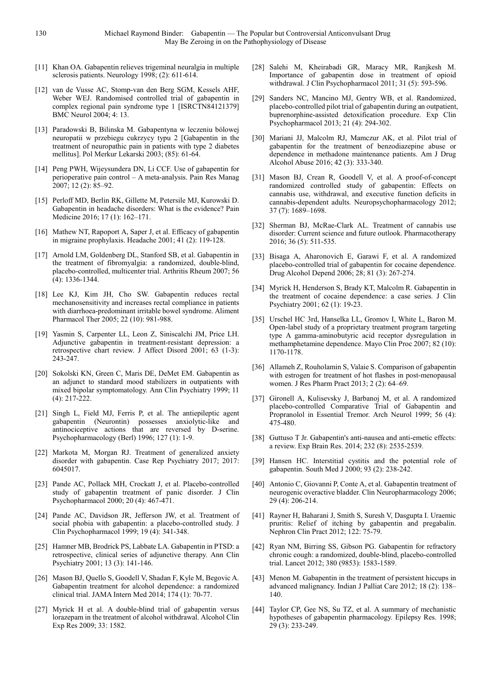- [11] Khan OA. Gabapentin relieves trigeminal neuralgia in multiple sclerosis patients. Neurology 1998; (2): 611-614.
- [12] van de Vusse AC, Stomp-van den Berg SGM, Kessels AHF, Weber WEJ. Randomised controlled trial of gabapentin in complex regional pain syndrome type 1 [ISRCTN84121379] BMC Neurol 2004; 4: 13.
- [13] Paradowski B, Bilinska M. Gabapentyna w leczeniu bólowej neuropatii w przebiegu cukrzycy typu 2 [Gabapentin in the treatment of neuropathic pain in patients with type 2 diabetes mellitus]. Pol Merkur Lekarski 2003; (85): 61-64.
- [14] Peng PWH, Wijeysundera DN, Li CCF. Use of gabapentin for perioperative pain control – A meta-analysis. Pain Res Manag  $2007; 12(2): 85 - 92.$
- [15] Perloff MD, Berlin RK, Gillette M, Petersile MJ, Kurowski D. Gabapentin in headache disorders: What is the evidence? Pain Medicine 2016; 17 (1): 162–171.
- [16] Mathew NT, Rapoport A, Saper J, et al. Efficacy of gabapentin in migraine prophylaxis. Headache 2001; 41 (2): 119-128.
- [17] Arnold LM, Goldenberg DL, Stanford SB, et al. Gabapentin in the treatment of fibromyalgia: a randomized, double-blind, placebo-controlled, multicenter trial. Arthritis Rheum 2007; 56 (4): 1336-1344.
- [18] Lee KJ, Kim JH, Cho SW, Gabapentin reduces rectal mechanosensitivity and increases rectal compliance in patients with diarrhoea-predominant irritable bowel syndrome. Aliment Pharmacol Ther 2005; 22 (10): 981-988.
- [19] Yasmin S, Carpenter LL, Leon Z, Siniscalchi JM, Price LH. Adjunctive gabapentin in treatment-resistant depression: a retrospective chart review. J Affect Disord 2001; 63 (1-3): 243-247.
- [20] Sokolski KN, Green C, Maris DE, DeMet EM. Gabapentin as an adjunct to standard mood stabilizers in outpatients with mixed bipolar symptomatology. Ann Clin Psychiatry 1999; 11 (4): 217-222.
- [21] Singh L, Field MJ, Ferris P, et al. The antiepileptic agent gabapentin (Neurontin) possesses anxiolytic-like and antinociceptive actions that are reversed by D-serine. Psychopharmacology (Berl) 1996; 127 (1): 1-9.
- [22] Markota M, Morgan RJ. Treatment of generalized anxiety disorder with gabapentin. Case Rep Psychiatry 2017; 2017: 6045017.
- [23] Pande AC, Pollack MH, Crockatt J, et al. Placebo-controlled study of gabapentin treatment of panic disorder. J Clin Psychopharmacol 2000; 20 (4): 467-471.
- [24] Pande AC, Davidson JR, Jefferson JW, et al. Treatment of social phobia with gabapentin: a placebo-controlled study. J Clin Psychopharmacol 1999; 19 (4): 341-348.
- [25] Hamner MB, Brodrick PS, Labbate LA. Gabapentin in PTSD: a retrospective, clinical series of adjunctive therapy. Ann Clin Psychiatry 2001; 13 (3): 141-146.
- [26] Mason BJ, Quello S, Goodell V, Shadan F, Kyle M, Begovic A. Gabapentin treatment for alcohol dependence: a randomized clinical trial. JAMA Intern Med 2014; 174 (1): 70-77.
- [27] Myrick H et al. A double-blind trial of gabapentin versus lorazepam in the treatment of alcohol withdrawal. Alcohol Clin Exp Res 2009; 33: 1582.
- [28] Salehi M, Kheirabadi GR, Maracy MR, Ranjkesh M. Importance of gabapentin dose in treatment of opioid withdrawal. J Clin Psychopharmacol 2011; 31 (5): 593-596.
- [29] Sanders NC, Mancino MJ, Gentry WB, et al. Randomized, placebo-controlled pilot trial of gabapentin during an outpatient, buprenorphine-assisted detoxification procedure. Exp Clin Psychopharmacol 2013; 21 (4): 294-302.
- [30] Mariani JJ, Malcolm RJ, Mamczur AK, et al. Pilot trial of gabapentin for the treatment of benzodiazepine abuse or dependence in methadone maintenance patients. Am J Drug Alcohol Abuse 2016; 42 (3): 333-340.
- [31] Mason BJ, Crean R, Goodell V, et al. A proof-of-concept randomized controlled study of gabapentin: Effects on cannabis use, withdrawal, and executive function deficits in cannabis-dependent adults. Neuropsychopharmacology 2012; 37 (7): 1689–1698.
- [32] Sherman BJ, McRae-Clark AL. Treatment of cannabis use disorder: Current science and future outlook. Pharmacotherapy 2016; 36 (5): 511-535.
- [33] Bisaga A, Aharonovich E, Garawi F, et al. A randomized placebo-controlled trial of gabapentin for cocaine dependence. Drug Alcohol Depend 2006; 28; 81 (3): 267-274.
- [34] Myrick H, Henderson S, Brady KT, Malcolm R. Gabapentin in the treatment of cocaine dependence: a case series. J Clin Psychiatry 2001; 62 (1): 19-23.
- [35] Urschel HC 3rd, Hanselka LL, Gromov I, White L, Baron M. Open-label study of a proprietary treatment program targeting type A gamma-aminobutyric acid receptor dysregulation in methamphetamine dependence. Mayo Clin Proc 2007; 82 (10): 1170-1178.
- [36] Allameh Z, Rouholamin S, Valaie S. Comparison of gabapentin with estrogen for treatment of hot flashes in post-menopausal women. J Res Pharm Pract 2013; 2 (2): 64–69.
- [37] Gironell A, Kulisevsky J, Barbanoj M, et al. A randomized placebo-controlled Comparative Trial of Gabapentin and Propranolol in Essential Tremor. Arch Neurol 1999; 56 (4): 475-480.
- [38] Guttuso T Jr. Gabapentin's anti-nausea and anti-emetic effects: a review. Exp Brain Res. 2014; 232 (8): 2535-2539.
- [39] Hansen HC. Interstitial cystitis and the potential role of gabapentin. South Med J 2000; 93 (2): 238-242.
- [40] Antonio C, Giovanni P, Conte A, et al. Gabapentin treatment of neurogenic overactive bladder. Clin Neuropharmacology 2006; 29 (4): 206-214.
- [41] Rayner H, Baharani J, Smith S, Suresh V, Dasgupta I. Uraemic pruritis: Relief of itching by gabapentin and pregabalin. Nephron Clin Pract 2012; 122: 75-79.
- [42] Ryan NM, Birring SS, Gibson PG. Gabapentin for refractory chronic cough: a randomized, double-blind, placebo-controlled trial. Lancet 2012; 380 (9853): 1583-1589.
- [43] Menon M. Gabapentin in the treatment of persistent hiccups in advanced malignancy. Indian J Palliat Care 2012; 18 (2): 138– 140.
- [44] Taylor CP, Gee NS, Su TZ, et al. A summary of mechanistic hypotheses of gabapentin pharmacology. Epilepsy Res. 1998; 29 (3): 233-249.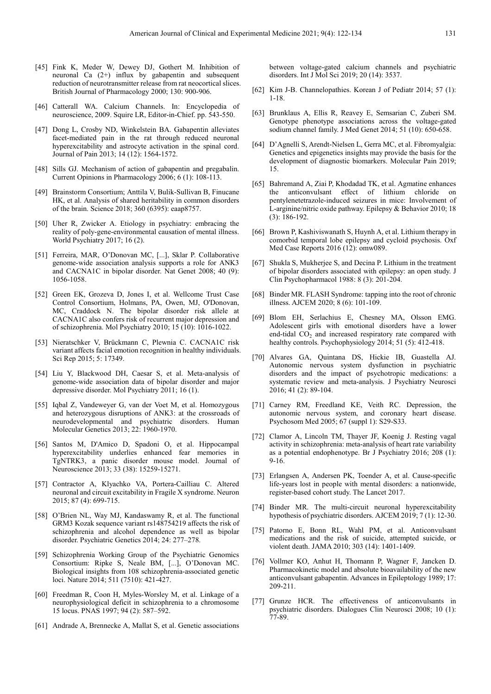- [45] Fink K, Meder W, Dewey DJ, Gothert M. Inhibition of neuronal Ca (2+) influx by gabapentin and subsequent reduction of neurotransmitter release from rat neocortical slices. British Journal of Pharmacology 2000; 130: 900-906.
- [46] Catterall WA. Calcium Channels. In: Encyclopedia of neuroscience, 2009. Squire LR, Editor-in-Chief. pp. 543-550.
- [47] Dong L, Crosby ND, Winkelstein BA. Gabapentin alleviates facet-mediated pain in the rat through reduced neuronal hyperexcitability and astrocyte activation in the spinal cord. Journal of Pain 2013; 14 (12): 1564-1572.
- [48] Sills GJ. Mechanism of action of gabapentin and pregabalin. Current Opinions in Pharmacology 2006; 6 (1): 108-113.
- [49] Brainstorm Consortium; Anttila V, Bulik-Sullivan B, Finucane HK, et al. Analysis of shared heritability in common disorders of the brain. Science 2018; 360 (6395): eaap8757.
- [50] Uher R, Zwicker A. Etiology in psychiatry: embracing the reality of poly-gene-environmental causation of mental illness. World Psychiatry 2017; 16 (2).
- [51] Ferreira, MAR, O'Donovan MC, [...], Sklar P. Collaborative genome-wide association analysis supports a role for ANK3 and CACNA1C in bipolar disorder. Nat Genet 2008; 40 (9): 1056-1058.
- [52] Green EK, Grozeva D, Jones I, et al. Wellcome Trust Case Control Consortium, Holmans, PA, Owen, MJ, O'Donovan, MC, Craddock N. The bipolar disorder risk allele at CACNA1C also confers risk of recurrent major depression and of schizophrenia. Mol Psychiatry 2010; 15 (10): 1016-1022.
- [53] Nieratschker V, Brückmann C, Plewnia C. CACNA1C risk variant affects facial emotion recognition in healthy individuals. Sci Rep 2015; 5: 17349.
- [54] Liu Y, Blackwood DH, Caesar S, et al. Meta-analysis of genome-wide association data of bipolar disorder and major depressive disorder. Mol Psychiatry 2011; 16 (1).
- [55] Iqbal Z, Vandeweyer G, van der Voet M, et al. Homozygous and heterozygous disruptions of ANK3: at the crossroads of neurodevelopmental and psychiatric disorders. Human Molecular Genetics 2013; 22: 1960-1970.
- [56] Santos M, D'Amico D, Spadoni O, et al. Hippocampal hyperexcitability underlies enhanced fear memories in TgNTRK3, a panic disorder mouse model. Journal of Neuroscience 2013; 33 (38): 15259-15271.
- [57] Contractor A, Klyachko VA, Portera-Cailliau C. Altered neuronal and circuit excitability in Fragile X syndrome. Neuron 2015; 87 (4): 699-715.
- [58] O'Brien NL, Way MJ, Kandaswamy R, et al. The functional GRM3 Kozak sequence variant rs148754219 affects the risk of schizophrenia and alcohol dependence as well as bipolar disorder. Psychiatric Genetics 2014; 24: 277–278.
- [59] Schizophrenia Working Group of the Psychiatric Genomics Consortium: Ripke S, Neale BM, [...], O'Donovan MC. Biological insights from 108 schizophrenia-associated genetic loci. Nature 2014; 511 (7510): 421-427.
- [60] Freedman R, Coon H, Myles-Worsley M, et al. Linkage of a neurophysiological deficit in schizophrenia to a chromosome 15 locus. PNAS 1997; 94 (2): 587–592.
- [61] Andrade A, Brennecke A, Mallat S, et al. Genetic associations

between voltage-gated calcium channels and psychiatric disorders. Int J Mol Sci 2019; 20 (14): 3537.

- [62] Kim J-B. Channelopathies. Korean J of Pediatr 2014; 57 (1): 1-18.
- [63] Brunklaus A, Ellis R, Reavey E, Semsarian C, Zuberi SM. Genotype phenotype associations across the voltage-gated sodium channel family. J Med Genet 2014; 51 (10): 650-658.
- [64] D'Agnelli S, Arendt-Nielsen L, Gerra MC, et al. Fibromyalgia: Genetics and epigenetics insights may provide the basis for the development of diagnostic biomarkers. Molecular Pain 2019; 15.
- [65] Bahremand A, Ziai P, Khodadad TK, et al. Agmatine enhances the anticonvulsant effect of lithium chloride on pentylenetetrazole-induced seizures in mice: Involvement of L-arginine/nitric oxide pathway. Epilepsy & Behavior 2010; 18 (3): 186-192.
- [66] Brown P, Kashiviswanath S, Huynh A, et al. Lithium therapy in comorbid temporal lobe epilepsy and cycloid psychosis. Oxf Med Case Reports 2016 (12): omw089.
- [67] Shukla S, Mukherjee S, and Decina P. Lithium in the treatment of bipolar disorders associated with epilepsy: an open study. J Clin Psychopharmacol 1988: 8 (3): 201-204.
- [68] Binder MR. FLASH Syndrome: tapping into the root of chronic illness. AJCEM 2020; 8 (6): 101-109.
- [69] Blom EH, Serlachius E, Chesney MA, Olsson EMG. Adolescent girls with emotional disorders have a lower end-tidal  $CO<sub>2</sub>$  and increased respiratory rate compared with healthy controls. Psychophysiology 2014; 51 (5): 412-418.
- [70] Alvares GA, Quintana DS, Hickie IB, Guastella AJ. Autonomic nervous system dysfunction in psychiatric disorders and the impact of psychotropic medications: a systematic review and meta-analysis. J Psychiatry Neurosci 2016; 41 (2): 89-104.
- [71] Carney RM, Freedland KE, Veith RC. Depression, the autonomic nervous system, and coronary heart disease. Psychosom Med 2005; 67 (suppl 1): S29-S33.
- [72] Clamor A, Lincoln TM, Thayer JF, Koenig J. Resting vagal activity in schizophrenia: meta-analysis of heart rate variability as a potential endophenotype. Br J Psychiatry 2016; 208 (1): 9-16.
- [73] Erlangsen A, Andersen PK, Toender A, et al. Cause-specific life-years lost in people with mental disorders: a nationwide, register-based cohort study. The Lancet 2017.
- [74] Binder MR. The multi-circuit neuronal hyperexcitability hypothesis of psychiatric disorders. AJCEM 2019; 7 (1): 12-30.
- [75] Patorno E, Bonn RL, Wahl PM, et al. Anticonvulsant medications and the risk of suicide, attempted suicide, or violent death. JAMA 2010; 303 (14): 1401-1409.
- [76] Vollmer KO, Anhut H, Thomann P, Wagner F, Jancken D. Pharmacokinetic model and absolute bioavailability of the new anticonvulsant gabapentin. Advances in Epileptology 1989; 17: 209-211.
- [77] Grunze HCR. The effectiveness of anticonvulsants in psychiatric disorders. Dialogues Clin Neurosci 2008; 10 (1): 77-89.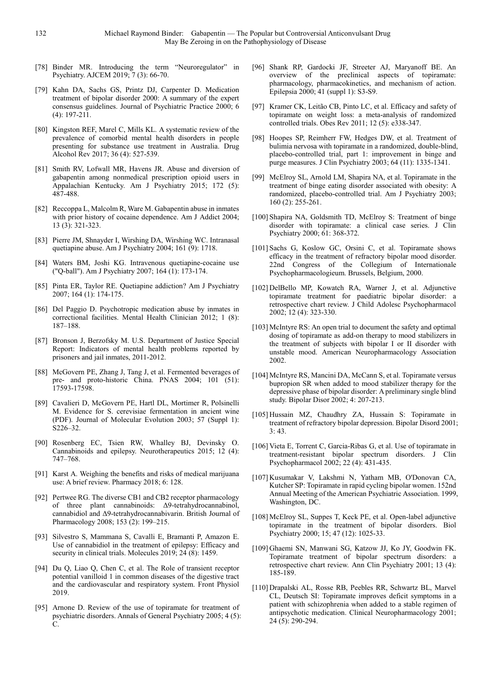- [78] Binder MR. Introducing the term "Neuroregulator" in Psychiatry. AJCEM 2019; 7 (3): 66-70.
- [79] Kahn DA, Sachs GS, Printz DJ, Carpenter D. Medication treatment of bipolar disorder 2000: A summary of the expert consensus guidelines. Journal of Psychiatric Practice 2000; 6 (4): 197-211.
- [80] Kingston REF, Marel C, Mills KL. A systematic review of the prevalence of comorbid mental health disorders in people presenting for substance use treatment in Australia. Drug Alcohol Rev 2017; 36 (4): 527-539.
- [81] Smith RV, Lofwall MR, Havens JR. Abuse and diversion of gabapentin among nonmedical prescription opioid users in Appalachian Kentucky. Am J Psychiatry 2015; 172 (5): 487-488.
- [82] Reccoppa L, Malcolm R, Ware M. Gabapentin abuse in inmates with prior history of cocaine dependence. Am J Addict 2004; 13 (3): 321-323.
- [83] Pierre JM, Shnayder I, Wirshing DA, Wirshing WC. Intranasal quetiapine abuse. Am J Psychiatry 2004; 161 (9): 1718.
- [84] Waters BM, Joshi KG. Intravenous quetiapine-cocaine use ("Q-ball"). Am J Psychiatry 2007; 164 (1): 173-174.
- [85] Pinta ER, Taylor RE. Quetiapine addiction? Am J Psychiatry 2007; 164 (1): 174-175.
- [86] Del Paggio D. Psychotropic medication abuse by inmates in correctional facilities. Mental Health Clinician 2012; 1 (8): 187–188.
- [87] Bronson J, Berzofsky M. U.S. Department of Justice Special Report: Indicators of mental health problems reported by prisoners and jail inmates, 2011-2012.
- [88] McGovern PE, Zhang J, Tang J, et al. Fermented beverages of pre- and proto-historic China. PNAS 2004; 101 (51): 17593-17598.
- [89] Cavalieri D, McGovern PE, Hartl DL, Mortimer R, Polsinelli M. Evidence for S. cerevisiae fermentation in ancient wine (PDF). Journal of Molecular Evolution 2003; 57 (Suppl 1): S226–32.
- [90] Rosenberg EC, Tsien RW, Whalley BJ, Devinsky O. Cannabinoids and epilepsy. Neurotherapeutics 2015; 12 (4): 747–768.
- [91] Karst A. Weighing the benefits and risks of medical marijuana use: A brief review. Pharmacy 2018; 6: 128.
- [92] Pertwee RG. The diverse CB1 and CB2 receptor pharmacology of three plant cannabinoids: ∆9-tetrahydrocannabinol, cannabidiol and ∆9-tetrahydrocannabivarin. British Journal of Pharmacology 2008; 153 (2): 199–215.
- [93] Silvestro S, Mammana S, Cavalli E, Bramanti P, Amazon E. Use of cannabidiol in the treatment of epilepsy: Efficacy and security in clinical trials. Molecules 2019; 24 (8): 1459.
- [94] Du Q, Liao Q, Chen C, et al. The Role of transient receptor potential vanilloid 1 in common diseases of the digestive tract and the cardiovascular and respiratory system. Front Physiol 2019.
- [95] Arnone D. Review of the use of topiramate for treatment of psychiatric disorders. Annals of General Psychiatry 2005; 4 (5): C.
- [96] Shank RP, Gardocki JF, Streeter AJ, Maryanoff BE. An overview of the preclinical aspects of topiramate: pharmacology, pharmacokinetics, and mechanism of action. Epilepsia 2000; 41 (suppl 1): S3-S9.
- [97] Kramer CK, Leitão CB, Pinto LC, et al. Efficacy and safety of topiramate on weight loss: a meta-analysis of randomized controlled trials. Obes Rev 2011; 12 (5): e338-347.
- [98] Hoopes SP, Reimherr FW, Hedges DW, et al. Treatment of bulimia nervosa with topiramate in a randomized, double-blind, placebo-controlled trial, part 1: improvement in binge and purge measures. J Clin Psychiatry 2003; 64 (11): 1335-1341.
- [99] McElroy SL, Arnold LM, Shapira NA, et al. Topiramate in the treatment of binge eating disorder associated with obesity: A randomized, placebo-controlled trial. Am J Psychiatry 2003; 160 (2): 255-261.
- [100] Shapira NA, Goldsmith TD, McElroy S: Treatment of binge disorder with topiramate: a clinical case series. J Clin Psychiatry 2000; 61: 368-372.
- [101] Sachs G, Koslow GC, Orsini C, et al. Topiramate shows efficacy in the treatment of refractory bipolar mood disorder. 22nd Congress of the Collegium of Internationale Psychopharmacologieum. Brussels, Belgium, 2000.
- [102] DelBello MP, Kowatch RA, Warner J, et al. Adjunctive topiramate treatment for paediatric bipolar disorder: a retrospective chart review. J Child Adolesc Psychopharmacol 2002; 12 (4): 323-330.
- [103] McIntyre RS: An open trial to document the safety and optimal dosing of topiramate as add-on therapy to mood stabilizers in the treatment of subjects with bipolar I or II disorder with unstable mood. American Neuropharmacology Association 2002.
- [104] McIntyre RS, Mancini DA, McCann S, et al. Topiramate versus bupropion SR when added to mood stabilizer therapy for the depressive phase of bipolar disorder: A preliminary single blind study. Bipolar Disor 2002; 4: 207-213.
- [105] Hussain MZ, Chaudhry ZA, Hussain S: Topiramate in treatment of refractory bipolar depression. Bipolar Disord 2001;  $3:43.$
- [106] Vieta E, Torrent C, Garcia-Ribas G, et al. Use of topiramate in treatment-resistant bipolar spectrum disorders. J Clin Psychopharmacol 2002; 22 (4): 431-435.
- [107] Kusumakar V, Lakshmi N, Yatham MB, O'Donovan CA, Kutcher SP: Topiramate in rapid cycling bipolar women. 152nd Annual Meeting of the American Psychiatric Association. 1999, Washington, DC.
- [108] McElroy SL, Suppes T, Keck PE, et al. Open-label adjunctive topiramate in the treatment of bipolar disorders. Biol Psychiatry 2000; 15; 47 (12): 1025-33.
- [109] Ghaemi SN, Manwani SG, Katzow JJ, Ko JY, Goodwin FK. Topiramate treatment of bipolar spectrum disorders: a retrospective chart review. Ann Clin Psychiatry 2001; 13 (4): 185-189.
- [110] Drapalski AL, Rosse RB, Peebles RR, Schwartz BL, Marvel CL, Deutsch SI: Topiramate improves deficit symptoms in a patient with schizophrenia when added to a stable regimen of antipsychotic medication. Clinical Neuropharmacology 2001; 24 (5): 290-294.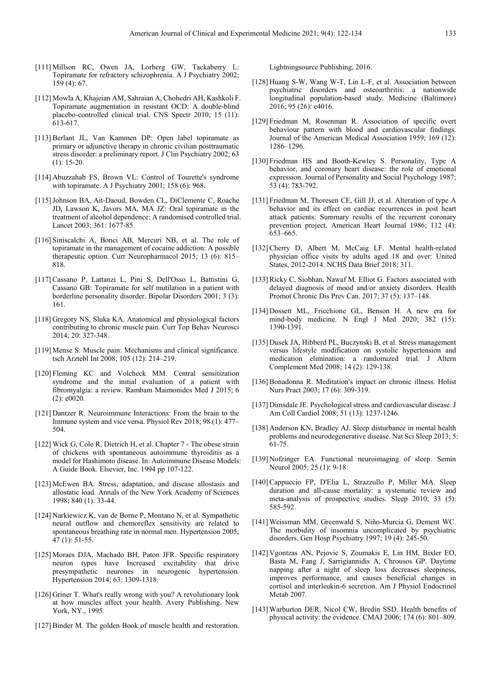- [111] Millson RC, Owen JA, Lorberg GW, Tackaberry L: Topiramate for refractory schizophrenia. A J Psychiatry 2002; 159 (4): 67.
- [112] Mowla A, Khajeian AM, Sahraian A, Chohedri AH, Kashkoli F. Topiramate augmentation in resistant OCD: A double-blind placebo-controlled clinical trial. CNS Spectr 2010; 15 (11): 613-617.
- [113] Berlant JL, Van Kammen DP: Open label topiramate as primary or adjunctive therapy in chronic civilian posttraumatic stress disorder: a preliminary report. J Clin Psychiatry 2002; 63 (1): 15-20.
- [114] Abuzzahab FS, Brown VL: Control of Tourette's syndrome with topiramate. A J Psychiatry 2001; 158 (6): 968.
- [115]Johnson BA, Ait-Daoud, Bowden CL, DiClemente C, Roache JD, Lawson K, Javors MA, MA JZ: Oral topiramate in the treatment of alcohol dependence: A randomised controlled trial. Lancet 2003; 361: 1677-85.
- [116] Siniscalchi A, Bonci AB, Mercuri NB, et al. The role of topiramate in the management of cocaine addiction: A possible therapeutic option. Curr Neuropharmacol 2015; 13 (6): 815– 818.
- [117] Cassano P, Lattanzi L, Pini S, Dell'Osso L, Battistini G, Cassano GB: Topiramate for self mutilation in a patient with borderline personality disorder. Bipolar Disorders 2001; 3 (3): 161.
- [118] Gregory NS, Sluka KA. Anatomical and physiological factors contributing to chronic muscle pain. Curr Top Behav Neurosci 2014; 20: 327-348.
- [119] Mense S. Muscle pain: Mechanisms and clinical significance. tsch Arztebl Int 2008; 105 (12): 214–219.
- [120] Fleming KC and Volcheck MM. Central sensitization syndrome and the initial evaluation of a patient with fibromyalgia: a review. Rambam Maimonides Med J 2015; 6 (2): e0020.
- [121] Dantzer R. Neuroimmune Interactions: From the brain to the Immune system and vice versa. Physiol Rev 2018; 98 (1): 477– 504.
- [122] Wick G, Cole R, Dietrich H, et al. Chapter 7 The obese strain of chickens with spontaneous autoimmune thyroiditis as a model for Hashimoto disease. In: Autoimmune Disease Models: A Guide Book. Elsevier, Inc. 1994 pp 107-122.
- [123] McEwen BA. Stress, adaptation, and disease allostasis and allostatic load. Annals of the New York Academy of Sciences 1998; 840 (1): 33-44.
- [124] Narkiewicz K, van de Borne P, Montano N, et al. Sympathetic neural outflow and chemoreflex sensitivity are related to spontaneous breathing rate in normal men. Hypertension 2005; 47 (1): 51-55.
- [125] Moraes DJA, Machado BH, Paton JFR. Specific respiratory neuron types have Increased excitability that drive presympathetic neurones in neurogenic hypertension. Hypertension 2014; 63: 1309-1318.
- [126] Griner T. What's really wrong with you? A revolutionary look at how muscles affect your health. Avery Publishing. New York, NY., 1995.
- [127] Binder M. The golden Book of muscle health and restoration.

Lightningsource Publishing, 2016.

- [128] Huang S-W, Wang W-T, Lin L-F, et al. Association between psychiatric disorders and osteoarthritis: a nationwide longitudinal population-based study. Medicine (Baltimore) 2016; 95 (26): e4016.
- [129] Friedman M, Rosenman R. Association of specific overt behaviour pattern with blood and cardiovascular findings. Journal of the American Medical Association 1959; 169 (12): 1286–1296.
- [130] Friedman HS and Booth-Kewley S. Personality, Type A behavior, and coronary heart disease: the role of emotional expression. Journal of Personality and Social Psychology 1987; 53 (4): 783-792.
- [131] Friedman M, Thoresen CE, Gill JJ, et al. Alteration of type A behavior and its effect on cardiac recurrences in post heart attack patients: Summary results of the recurrent coronary prevention project. American Heart Journal 1986; 112 (4): 653–665.
- [132] Cherry D, Albert M, McCaig LF. Mental health-related physician office visits by adults aged 18 and over: United States, 2012-2014. NCHS Data Brief 2018; 311.
- [133] Ricky C, Siobhan, Nawaf M. Elliot G. Factors associated with delayed diagnosis of mood and/or anxiety disorders. Health Promot Chronic Dis Prev Can. 2017; 37 (5): 137–148.
- [134] Dossett ML, Fricchione GL, Benson H. A new era for mind-body medicine. N Engl J Med 2020; 382 (15): 1390-1391.
- [135] Dusek JA, Hibberd PL, Buczynski B, et al. Stress management versus lifestyle modification on systolic hypertension and medication elimination: a randomized trial. J Altern Complement Med 2008; 14 (2): 129-138.
- [136] Bonadonna R. Meditation's impact on chronic illness. Holist Nurs Pract 2003; 17 (6): 309-319.
- [137] Dimsdale JE. Psychological stress and cardiovascular disease. J Am Coll Cardiol 2008; 51 (13): 1237-1246.
- [138] Anderson KN, Bradley AJ. Sleep disturbance in mental health problems and neurodegenerative disease. Nat Sci Sleep 2013; 5: 61-75.
- [139] Nofzinger EA. Functional neuroimaging of sleep. Semin Neurol 2005; 25 (1): 9-18.
- [140] Cappuccio FP, D'Elia L, Strazzullo P, Miller MA. Sleep duration and all-cause mortality: a systematic review and meta-analysis of prospective studies. Sleep 2010; 33 (5): 585-592.
- [141] Weissman MM, Greenwald S, Niño-Murcia G, Dement WC. The morbidity of insomnia uncomplicated by psychiatric disorders. Gen Hosp Psychiatry 1997; 19 (4): 245-50.
- [142] Vgontzas AN, Pejovic S, Zoumakis E, Lin HM, Bixler EO, Basta M, Fang J, Sarrigiannidis A, Chrousos GP. Daytime napping after a night of sleep loss decreases sleepiness, improves performance, and causes beneficial changes in cortisol and interleukin-6 secretion. Am J Physiol Endocrinol Metab 2007.
- [143] Warburton DER, Nicol CW, Bredin SSD. Health benefits of physical activity: the evidence. CMAJ 2006; 174 (6): 801–809.